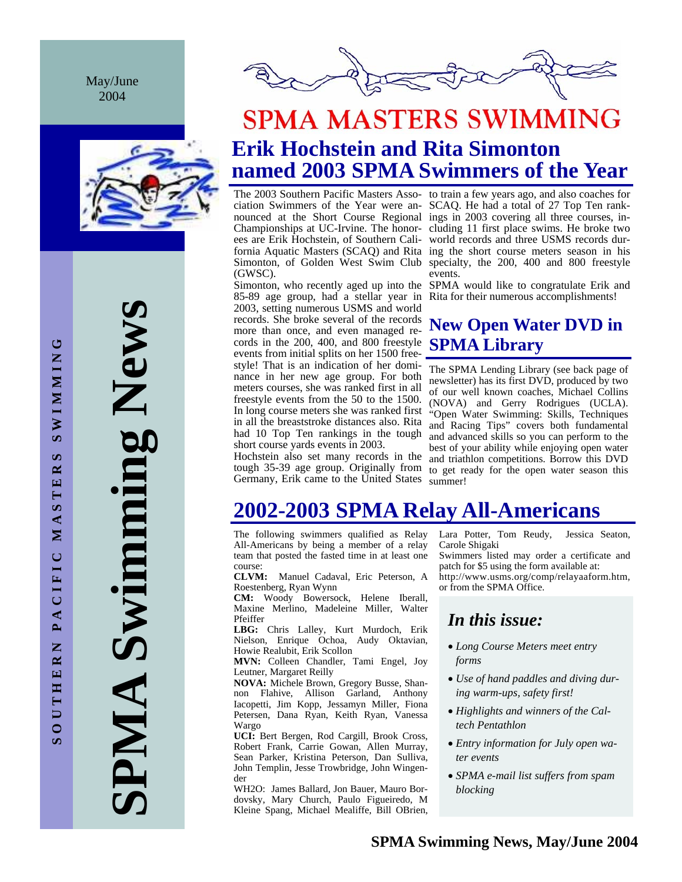May/June 2004



**SPMA Swimming News**  PMA Swimming New!



# **SPMA MASTERS SWIMMING Erik Hochstein and Rita Simonton named 2003 SPMA Swimmers of the Year**

(GWSC).

2003, setting numerous USMS and world records. She broke several of the records more than once, and even managed records in the 200, 400, and 800 freestyle events from initial splits on her 1500 freestyle! That is an indication of her dominance in her new age group. For both meters courses, she was ranked first in all freestyle events from the 50 to the 1500. In long course meters she was ranked first in all the breaststroke distances also. Rita had 10 Top Ten rankings in the tough short course yards events in 2003.

Hochstein also set many records in the Germany, Erik came to the United States summer!

The 2003 Southern Pacific Masters Asso-to train a few years ago, and also coaches for ciation Swimmers of the Year were an-SCAQ. He had a total of 27 Top Ten ranknounced at the Short Course Regional ings in 2003 covering all three courses, in-Championships at UC-Irvine. The honor-cluding 11 first place swims. He broke two ees are Erik Hochstein, of Southern Cali-world records and three USMS records durfornia Aquatic Masters (SCAQ) and Rita ing the short course meters season in his Simonton, of Golden West Swim Club specialty, the 200, 400 and 800 freestyle events.

Simonton, who recently aged up into the SPMA would like to congratulate Erik and 85-89 age group, had a stellar year in Rita for their numerous accomplishments!

# **New Open Water DVD in SPMA Library**

tough 35-39 age group. Originally from to get ready for the open water season this The SPMA Lending Library (see back page of newsletter) has its first DVD, produced by two of our well known coaches, Michael Collins (NOVA) and Gerry Rodrigues (UCLA). "Open Water Swimming: Skills, Techniques and Racing Tips" covers both fundamental and advanced skills so you can perform to the best of your ability while enjoying open water and triathlon competitions. Borrow this DVD

# **2002-2003 SPMA Relay All-Americans**

The following swimmers qualified as Relay All-Americans by being a member of a relay team that posted the fasted time in at least one course:

**CLVM:** Manuel Cadaval, Eric Peterson, A Roestenberg, Ryan Wynn

**CM:** Woody Bowersock, Helene Iberall, Maxine Merlino, Madeleine Miller, Walter Pfeiffer

**LBG:** Chris Lalley, Kurt Murdoch, Erik Nielson, Enrique Ochoa, Audy Oktavian, Howie Realubit, Erik Scollon

**MVN:** Colleen Chandler, Tami Engel, Joy Leutner, Margaret Reilly

**NOVA:** Michele Brown, Gregory Busse, Shannon Flahive, Allison Garland, Anthony Iacopetti, Jim Kopp, Jessamyn Miller, Fiona Petersen, Dana Ryan, Keith Ryan, Vanessa Wargo

**UCI:** Bert Bergen, Rod Cargill, Brook Cross, Robert Frank, Carrie Gowan, Allen Murray, Sean Parker, Kristina Peterson, Dan Sulliva, John Templin, Jesse Trowbridge, John Wingender

WH2O: James Ballard, Jon Bauer, Mauro Bordovsky, Mary Church, Paulo Figueiredo, M Kleine Spang, Michael Mealiffe, Bill OBrien, Lara Potter, Tom Reudy, Jessica Seaton, Carole Shigaki

Swimmers listed may order a certificate and patch for \$5 using the form available at:

http://www.usms.org/comp/relayaaform.htm, or from the SPMA Office.

# *In this issue:*

- *Long Course Meters meet entry forms*
- *Use of hand paddles and diving during warm-ups, safety first!*
- *Highlights and winners of the Caltech Pentathlon*
- *Entry information for July open water events*
- *SPMA e-mail list suffers from spam blocking*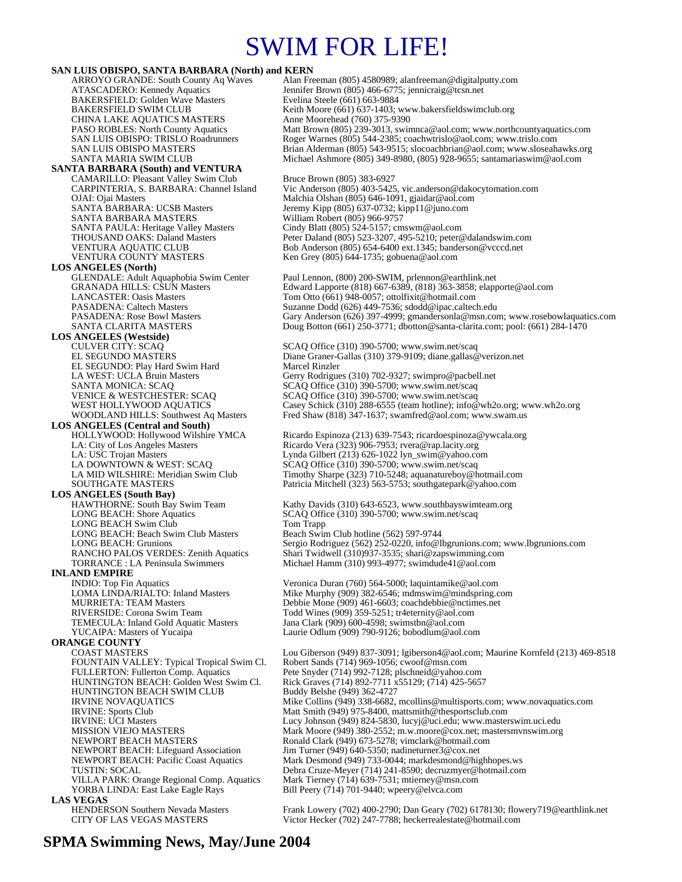# SWIM FOR LIFE!

**SAN LUIS OBISPO, SANTA BARBARA (North) and KERN ARROYO GRANDE: South County Aq Waves Alan Fre** ARROYO GRANDE: South County Aq Waves Alan Freeman (805) 4580989; alanfreeman @digitalputty.com<br>ATASCADERO: Kennedy Aquatics Jennifer Brown (805) 466-6775; jennicraig @tcsn.net Jennifer Brown (805) 466-6775; jennicraig@tcsn.net<br>Evelina Steele (661) 663-9884 BAKERSFIELD: Golden Wave Masters<br>BAKERSFIELD SWIM CLUB Keith Moore (661) 637-1403; www.bakersfieldswimclub.org CHINA LAKE AQUATICS MASTERS Anne Moorehead (760) 375-9390<br>
PASO ROBLES: North County Aquatics Matt Brown (805) 239-3013, swin PASO ROBLES: North County Aquatics Matt Brown (805) 239-3013, swimnca@aol.com; www.northcountyaquatics.com<br>SAN LUIS OBISPO: TRISLO Roadrunners Roger Warnes (805) 544-2385; coachwtrislo@aol.com; www.trislo.com Roger Warnes (805) 544-2385; coachwtrislo@aol.com; www.trislo.com SAN LUIS OBISPO MASTERS<br>SANTA MARIA SWIM CLUB<br>Brian Alderman (805) 349-8980, (805) 928-9655; santamariaswim@aol.com Michael Ashmore (805) 349-8980, (805) 928-9655; santamariaswim@aol.com **SANTA BARBARA (South) and VENTURA**  CAMARILLO: Pleasant Valley Swim Club Bruce Brown (805) 383-6927<br>CARPINTERIA, S. BARBARA: Channel Island Vic Anderson (805) 403-5425 CARPINTERIA, S. BARBARA: Channel Island Vic Anderson (805) 403-5425, vic.anderson@dakocytomation.com OJAI: Ojai Masters Malchia Olshan (805) 646-1091, gjaidar@aol.com SANTA BARBARA: UCSB Masters Jeremy Kipp (805) 637-0732; kipp 11@juno.com<br>SANTA BARBARA MASTERS William Robert (805) 966-9757 SANTA BARBARA MASTERS SANTA PAULA: Heritage Valley Masters Cindy Blatt (805) 524-5157; cmswm@aol.com<br>THOUSAND OAKS: Daland Masters Peter Daland (805) 523-3207, 495-5210; peter © THOUSAND OAKS: Daland Masters Peter Daland (805) 523-3207, 495-5210; peter @dalandswim.com<br>1990 VENTURA AQUATIC CLUB Bob Anderson (805) 654-6400 ext.1345; banderson @vcccd.net VENTURA AQUATIC CLUB Bob Anderson (805) 654-6400 ext.1345; banderson @vcccd.net<br>VENTURA COUNTY MASTERS Ken Grey (805) 644-1735; gobuena@aol.com Ken Grey (805) 644-1735; gobuena@aol.com **LOS ANGELES (North)** GLENDALE: Adult Aquaphobia Swim Center Paul Lennon, (800) 200-SWIM, prlennon@earthlink.net<br>GRANADA HILLS: CSUN Masters Edward Lapporte (818) 667-6389, (818) 363-3858; elapp GRANADA HILLS: CSUN Masters Edward Lapporte (818) 667-6389, (818) 363-3858; elapporte@aol.com<br>
LANCASTER: Oasis Masters Tom Otto (661) 948-0057; ottolfixit@hotmail.com Tom Otto (661) 948-0057; ottolfixit@hotmail.com PASADENA: Caltech Masters Suzanne Dodd (626) 449-7536; sdodd@ipac.caltech.edu<br>PASADENA: Rose Bowl Masters Gary Anderson (626) 397-4999; gmandersonla@msn.com PASADENA: Rose Bowl Masters Gary Anderson (626) 397-4999; gmandersonla@msn.com; www.rosebowlaquatics.com<br>SANTA CLARITA MASTERS Doug Botton (661) 250-3771; dbotton@santa-clarita.com; pool: (661) 284-1470 Doug Botton (661) 250-3771; dbotton@santa-clarita.com; pool: (661) 284-1470 **LOS ANGELES (Westside)** CULVER CITY: SCAQ<br>EL SEGUNDO MASTERS<br>Diane Graner-Gallas (310) 379-9109; diane.gallas (810) 379-9109; diane.gallas (810) 379-9109; diane.gallas (9 Diane Graner-Gallas (310) 379-9109; diane.gallas@verizon.net<br>Marcel Rinzler EL SEGUNDO: Play Hard Swim Hard<br>LA WEST: UCLA Bruin Masters LA WEST: UCLA Bruin Masters Gerry Rodrigues (310) 702-9327; swimpro@pacbell.net<br>SANTA MONICA: SCAQ SERIC SCAQ Office (310) 390-5700; www.swim.net/scaq SANTA MONICA: SCAQ SCAQ Office (310) 390-5700; www.swim.net/scaq VENICE & WESTCHESTER: SCAQ SCAQ Office (310) 390-5700; www.swim.net/scaq VENICE & WESTCHESTER: SCAQ SCAQ Office (310) 390-5700; www.swim.net/scaq<br>
WEST HOLLYWOOD AQUATICS Casey Schick (310) 288-6555 (team hotline); info@wh2o.org; www.wh2o.org<br>
WOODLAND HILLS: Southwest Aq Masters Fred Shaw (818 Fred Shaw (818) 347-1637; swamfred@aol.com; www.swam.us **LOS ANGELES (Central and South)**  HOLLYWOOD: Hollywood Wilshire YMCA Ricardo Espinoza (213) 639-7543; ricardoespinoza@ywcala.org<br>
LA: City of Los Angeles Masters Ricardo Vera (323) 906-7953; rvera@rap.lacity.org Ricardo Vera (323) 906-7953; rvera@rap.lacity.org LA: USC Trojan Masters Lynda Gilbert (213) 626-1022 lyn\_swim@yahoo.com<br>
LA DOWNTOWN & WEST: SCAQ LA DOWNTOWN & WEST: SCAQ SCAQ Office (310) 390-5700; www.swim.net/scaq<br>LA MID WILSHIRE: Meridian Swim Club Timothy Sharpe (323) 710-5248; aquanatureboy@h LA MID WILSHIRE: Meridian Swim Club Timothy Sharpe (323) 710-5248; aquanatureboy@hotmail.com<br>SOUTHGATE MASTERS Patricia Mitchell (323) 563-5753; southgatepark@yahoo.com Patricia Mitchell (323) 563-5753; southgatepark@yahoo.com **LOS ANGELES (South Bay)**  HAWTHORNE: South Bay Swim Team Kathy Davids (310) 643-6523, www.southbayswimteam.org<br>
LONG BEACH: Shore Aquatics<br>
SCAQ Office (310) 390-5700; www.swim.net/scaq SCAQ Office (310) 390-5700; www.swim.net/scaq<br>Tom Trapp LONG BEACH Swim Club<br>
LONG BEACH: Beach Swim Club Masters<br>
Beach Swim Club hotline (562) 597-9744 LONG BEACH: Beach Swim Club Masters<br>LONG BEACH: Grunions LONG BEACH: Grunions Sergio Rodriguez (562) 252-0220, info@lbgrunions.com; www.lbgrunions.com<br>RANCHO PALOS VERDES: Zenith Aquatics Shari Twidwell (310)937-3535; shari@zapswimming.com RANCHO PALOS VERDES: Zenith Aquatics Shari Twidwell (310)937-3535; shari@zapswimming.com<br>TORRANCE : LA Peninsula Swimmers Michael Hamm (310) 993-4977; swimdude41@aol.com Michael Hamm (310) 993-4977; swimdude41@aol.com **INLAND EMPIRE**  INDIO: Top Fin Aquatics Veronica Duran (760) 564-5000; laquintamike@aol.com<br>
LOMA LINDA/RIALTO: Inland Masters Mike Murphy (909) 382-6546; mdmswim@mindspring.c LOMA LINDA/RIALTO: Inland Masters Mike Murphy (909) 382-6546; mdmswim@mindspring.com<br>MURRIETA: TEAM Masters Debbie Mone (909) 461-6603; coachdebbie@nctimes.net MURRIETA: TEAM Masters **Debbie Mone (909) 461-6603; coachdebbie @nctimes.net**<br>RIVERSIDE: Corona Swim Team Todd Wines (909) 359-5251; tr4eternity @aol.com RIVERSIDE: Corona Swim Team Todd Wines (909) 359-5251; tr4eternity@aol.com<br>TEMECULA: Inland Gold Aquatic Masters Jana Clark (909) 600-4598; swimstbn@aol.com TEMECULA: Inland Gold Aquatic Masters Jana Clark (909) 600-4598; swimstbn@aol.com<br>YUCAIPA: Masters of Yucaipa Laurie Odlum (909) 790-9126; bobodlum@aol.c Laurie Odlum (909) 790-9126; bobodlum@aol.com **ORANGE COUNTY**  Lou Giberson (949) 837-3091; lgiberson4@aol.com; Maurine Kornfeld (213) 469-8518<br>Robert Sands (714) 969-1056; cwoof@msn.com FOUNTAIN VALLEY: Typical Tropical Swim Cl. FULLERTON: Fullerton Comp. Aquatics FULLERTON: Fullerton Comp. Aquatics Pete Snyder (714) 992-7128; plschneid@yahoo.com Rick Graves (714) 892-7711 x55129; (714) 425-5657<br>Buddy Belshe (949) 362-4727 HUNTINGTON BEACH SWIM CLUB IRVINE NOVAQUATICS Mike Collins (949) 338-6682, mcollins@multisports.com; www.novaquatics.com<br>IRVINE: Sports Club Matt Smith (949) 975-8400, mattsmith@thesportsclub.com IRVINE: Sports Club Matt Smith (949) 975-8400, mattsmith@thesportsclub.com<br>
IRVINE: UCI Masters Lucy Johnson (949) 824-5830, lucyj@uci.edu; www.master IRVINE: UCI Masters Lucy Johnson (949) 824-5830, lucyj@uci.edu; www.masterswim.uci.edu<br>MISSION VIEJO MASTERS Mark Moore (949) 380-2552; m.w.moore@cox.net; mastersmynswim.org MISSION VIEJO MASTERS Mark Moore (949) 380-2552; m.w.moore@cox.net; mastersmvnswim.org<br>NEWPORT BEACH MASTERS Ronald Clark (949) 673-5278; vimclark@hotmail.com NEWPORT BEACH MASTERS<br>NEWPORT BEACH: Lifeguard Association Jim Turner (949) 640-5350; nadineturner3@cox.net  $I$ im Turner (949) 640-5350; nadineturner $3@cox$ .net NEWPORT BEACH: Pacific Coast Aquatics Mark Desmond (949) 733-0044; markdesmond@highhopes.ws<br>
Debra Cruze-Meyer (714) 241-8590; decruzmyer@hotmail.com Debra Cruze-Meyer (714) 241-8590; decruzmyer@hotmail.com VILLA PARK: Orange Regional Comp. Aquatics Mark Tierney (714) 639-7531; mtierney@msn.com YORBA LINDA: East Lake Eagle Rays Bill Peery (714) 701-9440; wpeery@elvca.com **LAS VEGAS**<br> **HENDERSON Southern Nevada Masters** HENDERSON Southern Nevada Masters Frank Lowery (702) 400-2790; Dan Geary (702) 6178130; flowery719@earthlink.net<br>CITY OF LAS VEGAS MASTERS Victor Hecker (702) 247-7788; heckerrealestate@hotmail.com Victor Hecker (702) 247-7788; heckerrealestate@hotmail.com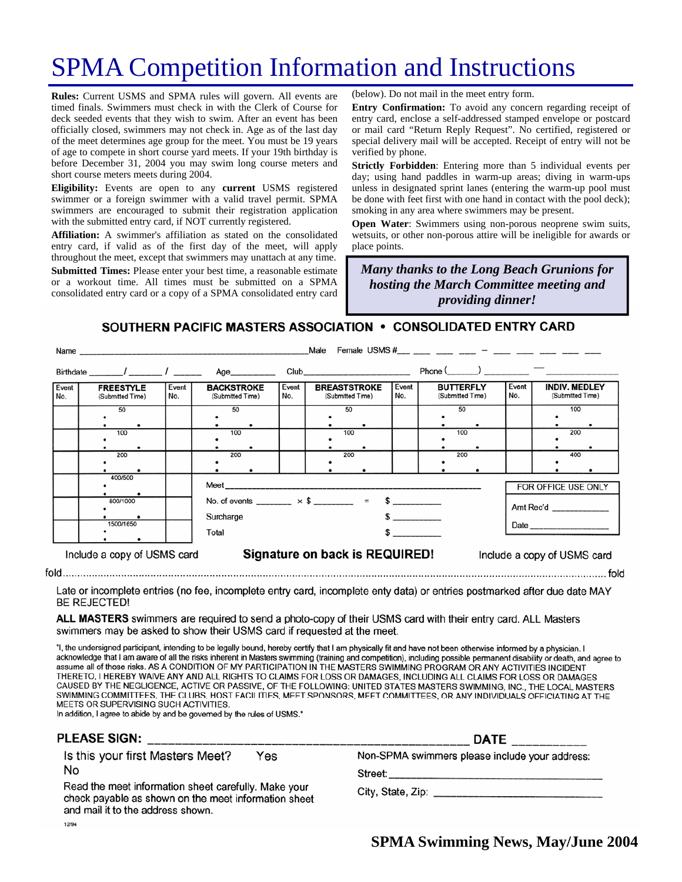# SPMA Competition Information and Instructions

**Rules:** Current USMS and SPMA rules will govern. All events are timed finals. Swimmers must check in with the Clerk of Course for deck seeded events that they wish to swim. After an event has been officially closed, swimmers may not check in. Age as of the last day of the meet determines age group for the meet. You must be 19 years of age to compete in short course yard meets. If your 19th birthday is before December 31, 2004 you may swim long course meters and short course meters meets during 2004.

**Eligibility:** Events are open to any **current** USMS registered swimmer or a foreign swimmer with a valid travel permit. SPMA swimmers are encouraged to submit their registration application with the submitted entry card, if NOT currently registered.

**Affiliation:** A swimmer's affiliation as stated on the consolidated entry card, if valid as of the first day of the meet, will apply throughout the meet, except that swimmers may unattach at any time. **Submitted Times:** Please enter your best time, a reasonable estimate or a workout time. All times must be submitted on a SPMA consolidated entry card or a copy of a SPMA consolidated entry card (below). Do not mail in the meet entry form.

**Entry Confirmation:** To avoid any concern regarding receipt of entry card, enclose a self-addressed stamped envelope or postcard or mail card "Return Reply Request". No certified, registered or special delivery mail will be accepted. Receipt of entry will not be verified by phone.

**Strictly Forbidden**: Entering more than 5 individual events per day; using hand paddles in warm-up areas; diving in warm-ups unless in designated sprint lanes (entering the warm-up pool must be done with feet first with one hand in contact with the pool deck); smoking in any area where swimmers may be present.

**Open Water:** Swimmers using non-porous neoprene swim suits, wetsuits, or other non-porous attire will be ineligible for awards or place points.

*Many thanks to the Long Beach Grunions for hosting the March Committee meeting and providing dinner!* 

SOUTHERN PACIFIC MASTERS ASSOCIATION • CONSOLIDATED ENTRY CARD

|                                                                                              |                                      |              |                                                                                             |              | Male                                                                                                                                                                                                                           |              |                                      |              |                                          |
|----------------------------------------------------------------------------------------------|--------------------------------------|--------------|---------------------------------------------------------------------------------------------|--------------|--------------------------------------------------------------------------------------------------------------------------------------------------------------------------------------------------------------------------------|--------------|--------------------------------------|--------------|------------------------------------------|
|                                                                                              |                                      |              | Age__________                                                                               |              | Club and the contract of the contract of the contract of the contract of the contract of the contract of the contract of the contract of the contract of the contract of the contract of the contract of the contract of the c |              | Phone $($ $)$ $)$ $)$                |              |                                          |
| Event<br>No.                                                                                 | <b>FREESTYLE</b><br>(Submitted Time) | Event<br>No. | <b>BACKSTROKE</b><br>(Submitted Time)                                                       | Event<br>No. | <b>BREASTSTROKE</b><br>(Submitted Time)                                                                                                                                                                                        | Event<br>No. | <b>BUTTERFLY</b><br>(Submitted Time) | Event<br>No. | <b>INDIV. MEDLEY</b><br>(Submitted Time) |
|                                                                                              | 50                                   |              | 50                                                                                          |              | 50                                                                                                                                                                                                                             |              | 50                                   |              | 100                                      |
|                                                                                              | 100                                  |              | 100                                                                                         |              | 100                                                                                                                                                                                                                            |              | 100                                  |              | 200                                      |
|                                                                                              | 200                                  |              | 200                                                                                         |              | 200                                                                                                                                                                                                                            |              | 200                                  |              | 400                                      |
|                                                                                              | 400/500                              |              | <b>Meet Exercise Section</b>                                                                |              |                                                                                                                                                                                                                                |              |                                      |              | FOR OFFICE USE ONLY                      |
|                                                                                              | 800/1000                             |              | No. of events _________ $\times$ \$ _________ = \$ __________<br>Surcharge<br>$\frac{1}{2}$ |              |                                                                                                                                                                                                                                |              | Amt Rec'd                            |              |                                          |
|                                                                                              | 1500/1650                            |              | Total                                                                                       |              |                                                                                                                                                                                                                                | $\sim$       |                                      |              |                                          |
| Signature on back is REQUIRED!<br>Include a copy of USMS card<br>Include a copy of USMS card |                                      |              |                                                                                             |              |                                                                                                                                                                                                                                |              |                                      |              |                                          |

Late or incomplete entries (no fee, incomplete entry card, incomplete enty data) or entries postmarked after due date MAY **BE REJECTED!** 

ALL MASTERS swimmers are required to send a photo-copy of their USMS card with their entry card. ALL Masters swimmers may be asked to show their USMS card if requested at the meet.

"I, the undersigned participant, intending to be legally bound, hereby certify that I am physically fit and have not been otherwise informed by a physician. I acknowledge that I am aware of all the risks inherent in Masters swimming (training and competition), including possible permanent disability or death, and agree to assume all of those risks. AS A CONDITION OF MY PARTICIPATION IN THE MASTERS SWIMMING PROGRAM OR ANY ACTIVITIES INCIDENT THERETO, I HEREBY WAIVE ANY AND ALL RIGHTS TO CLAIMS FOR LOSS OR DAMAGES, INCLUDING ALL CLAIMS FOR LOSS OR DAMAGES CAUSED BY THE NEGLIGENCE, ACTIVE OR PASSIVE, OF THE FOLLOWING: UNITED STATES MASTERS SWIMMING, INC., THE LOCAL MASTERS SWIMMING COMMITTEES, THE CLUBS, HOST FACILITIES, MEET SPONSORS, MEET COMMITTEES, OR ANY INDIVIDUALS OFFICIATING AT THE MEETS OR SUPERVISING SUCH ACTIVITIES.

In addition, I agree to abide by and be governed by the rules of USMS."

#### **PLEASE SIGN:**

Is this your first Masters Meet? Yes No

Read the meet information sheet carefully. Make your check payable as shown on the meet information sheet and mail it to the address shown. 12/94

| Non-SPMA swimmers please include your address: |  |  |
|------------------------------------------------|--|--|
|------------------------------------------------|--|--|

**DATE** 

City, State, Zip: example of the state of the state of the state of the state of the state of the state of the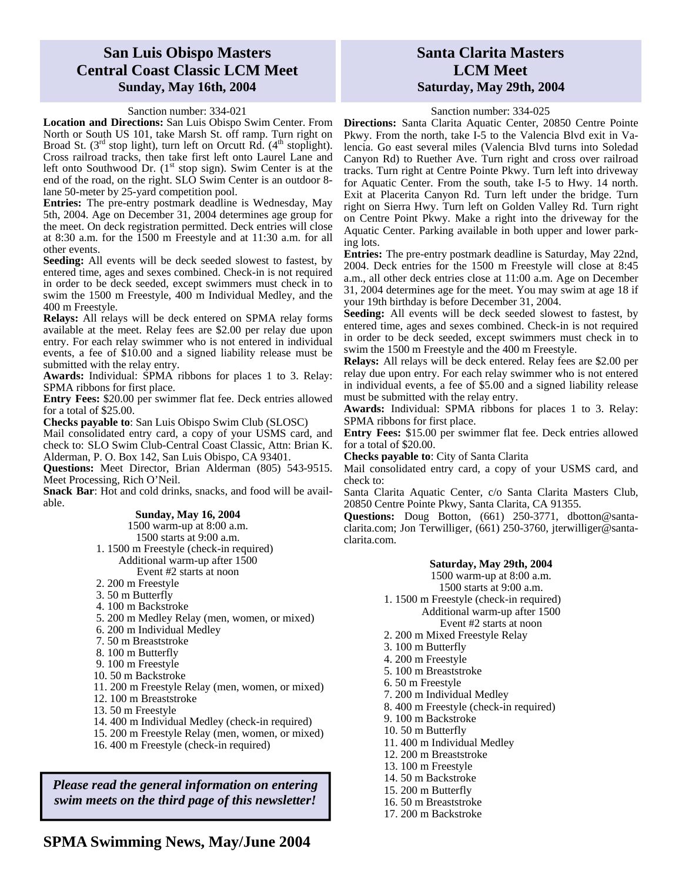## **San Luis Obispo Masters Central Coast Classic LCM Meet Sunday, May 16th, 2004**

#### Sanction number: 334-021

**Location and Directions:** San Luis Obispo Swim Center. From North or South US 101, take Marsh St. off ramp. Turn right on Broad St.  $(3<sup>rd</sup> stop light)$ , turn left on Orcutt Rd.  $(4<sup>th</sup> stoplight)$ . Cross railroad tracks, then take first left onto Laurel Lane and left onto Southwood Dr.  $(1<sup>st</sup> stop sign)$ . Swim Center is at the end of the road, on the right. SLO Swim Center is an outdoor 8 lane 50-meter by 25-yard competition pool.

**Entries:** The pre-entry postmark deadline is Wednesday, May 5th, 2004. Age on December 31, 2004 determines age group for the meet. On deck registration permitted. Deck entries will close at 8:30 a.m. for the 1500 m Freestyle and at 11:30 a.m. for all other events.

**Seeding:** All events will be deck seeded slowest to fastest, by entered time, ages and sexes combined. Check-in is not required in order to be deck seeded, except swimmers must check in to swim the 1500 m Freestyle, 400 m Individual Medley, and the 400 m Freestyle.

**Relays:** All relays will be deck entered on SPMA relay forms available at the meet. Relay fees are \$2.00 per relay due upon entry. For each relay swimmer who is not entered in individual events, a fee of \$10.00 and a signed liability release must be submitted with the relay entry.

**Awards:** Individual: SPMA ribbons for places 1 to 3. Relay: SPMA ribbons for first place.

**Entry Fees:** \$20.00 per swimmer flat fee. Deck entries allowed for a total of \$25.00.

**Checks payable to**: San Luis Obispo Swim Club (SLOSC)

Mail consolidated entry card, a copy of your USMS card, and check to: SLO Swim Club-Central Coast Classic, Attn: Brian K. Alderman, P. O. Box 142, San Luis Obispo, CA 93401.

**Questions:** Meet Director, Brian Alderman (805) 543-9515. Meet Processing, Rich O'Neil.

**Snack Bar**: Hot and cold drinks, snacks, and food will be available.

#### **Sunday, May 16, 2004**

1500 warm-up at 8:00 a.m.

1500 starts at 9:00 a.m.

 1. 1500 m Freestyle (check-in required) Additional warm-up after 1500

Event #2 starts at noon

- 2. 200 m Freestyle
- 3. 50 m Butterfly
- 
- 4. 100 m Backstroke
- 5. 200 m Medley Relay (men, women, or mixed)
- 6. 200 m Individual Medley
- 7. 50 m Breaststroke
- 8. 100 m Butterfly
- 9. 100 m Freestyle
- 10. 50 m Backstroke
- 11. 200 m Freestyle Relay (men, women, or mixed)
- 12. 100 m Breaststroke
- 13. 50 m Freestyle
- 14. 400 m Individual Medley (check-in required)
- 15. 200 m Freestyle Relay (men, women, or mixed)
- 16. 400 m Freestyle (check-in required)

*Please read the general information on entering swim meets on the third page of this newsletter!* 

### **SPMA Swimming News, May/June 2004**

## **Santa Clarita Masters LCM Meet Saturday, May 29th, 2004**

#### Sanction number: 334-025

**Directions:** Santa Clarita Aquatic Center, 20850 Centre Pointe Pkwy. From the north, take I-5 to the Valencia Blvd exit in Valencia. Go east several miles (Valencia Blvd turns into Soledad Canyon Rd) to Ruether Ave. Turn right and cross over railroad tracks. Turn right at Centre Pointe Pkwy. Turn left into driveway for Aquatic Center. From the south, take I-5 to Hwy. 14 north. Exit at Placerita Canyon Rd. Turn left under the bridge. Turn right on Sierra Hwy. Turn left on Golden Valley Rd. Turn right on Centre Point Pkwy. Make a right into the driveway for the Aquatic Center. Parking available in both upper and lower parking lots.

**Entries:** The pre-entry postmark deadline is Saturday, May 22nd, 2004. Deck entries for the 1500 m Freestyle will close at 8:45 a.m., all other deck entries close at 11:00 a.m. Age on December 31, 2004 determines age for the meet. You may swim at age 18 if your 19th birthday is before December 31, 2004.

**Seeding:** All events will be deck seeded slowest to fastest, by entered time, ages and sexes combined. Check-in is not required in order to be deck seeded, except swimmers must check in to swim the 1500 m Freestyle and the 400 m Freestyle.

**Relays:** All relays will be deck entered. Relay fees are \$2.00 per relay due upon entry. For each relay swimmer who is not entered in individual events, a fee of \$5.00 and a signed liability release must be submitted with the relay entry.

**Awards:** Individual: SPMA ribbons for places 1 to 3. Relay: SPMA ribbons for first place.

**Entry Fees:** \$15.00 per swimmer flat fee. Deck entries allowed for a total of \$20.00.

**Checks payable to**: City of Santa Clarita

Mail consolidated entry card, a copy of your USMS card, and check to:

Santa Clarita Aquatic Center, c/o Santa Clarita Masters Club, 20850 Centre Pointe Pkwy, Santa Clarita, CA 91355.

**Questions:** Doug Botton, (661) 250-3771, dbotton@santaclarita.com; Jon Terwilliger, (661) 250-3760, jterwilliger@santaclarita.com.

#### **Saturday, May 29th, 2004**

1500 warm-up at 8:00 a.m. 1500 starts at 9:00 a.m.

1. 1500 m Freestyle (check-in required)

#### Additional warm-up after 1500 Event #2 starts at noon

- 2. 200 m Mixed Freestyle Relay
- 3. 100 m Butterfly
- 4. 200 m Freestyle
- 5. 100 m Breaststroke
- 
- 6. 50 m Freestyle
- 7. 200 m Individual Medley
- 8. 400 m Freestyle (check-in required)
- 9. 100 m Backstroke
- 10. 50 m Butterfly
- 11. 400 m Individual Medley
- 12. 200 m Breaststroke
- 13. 100 m Freestyle
- 14. 50 m Backstroke
- 15. 200 m Butterfly
- 16. 50 m Breaststroke
- 17. 200 m Backstroke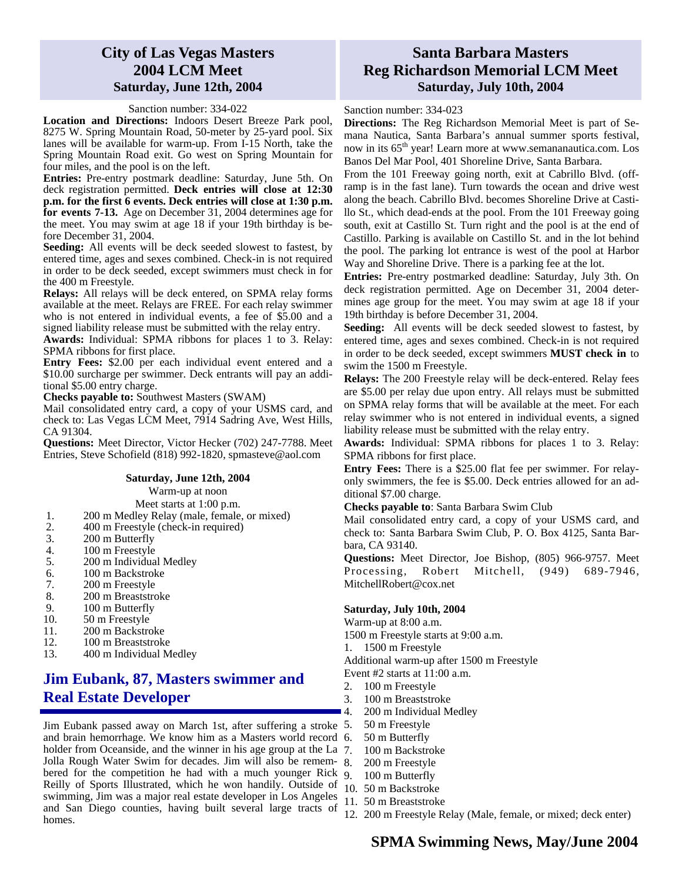## **City of Las Vegas Masters 2004 LCM Meet Saturday, June 12th, 2004**

#### Sanction number: 334-022

**Location and Directions:** Indoors Desert Breeze Park pool, 8275 W. Spring Mountain Road, 50-meter by 25-yard pool. Six lanes will be available for warm-up. From I-15 North, take the Spring Mountain Road exit. Go west on Spring Mountain for four miles, and the pool is on the left.

**Entries:** Pre-entry postmark deadline: Saturday, June 5th. On deck registration permitted. **Deck entries will close at 12:30 p.m. for the first 6 events. Deck entries will close at 1:30 p.m. for events 7-13.** Age on December 31, 2004 determines age for the meet. You may swim at age 18 if your 19th birthday is before December 31, 2004.

**Seeding:** All events will be deck seeded slowest to fastest, by entered time, ages and sexes combined. Check-in is not required in order to be deck seeded, except swimmers must check in for the 400 m Freestyle.

**Relays:** All relays will be deck entered, on SPMA relay forms available at the meet. Relays are FREE. For each relay swimmer who is not entered in individual events, a fee of \$5.00 and a signed liability release must be submitted with the relay entry.

**Awards:** Individual: SPMA ribbons for places 1 to 3. Relay: SPMA ribbons for first place.

**Entry Fees:** \$2.00 per each individual event entered and a \$10.00 surcharge per swimmer. Deck entrants will pay an additional \$5.00 entry charge.

**Checks payable to:** Southwest Masters (SWAM)

Mail consolidated entry card, a copy of your USMS card, and check to: Las Vegas LCM Meet, 7914 Sadring Ave, West Hills, CA 91304.

**Questions:** Meet Director, Victor Hecker (702) 247-7788. Meet Entries, Steve Schofield (818) 992-1820, spmasteve@aol.com

#### **Saturday, June 12th, 2004**

Warm-up at noon

Meet starts at 1:00 p.m.

- 1. 200 m Medley Relay (male, female, or mixed)
- 2. 400 m Freestyle (check-in required)<br>3. 200 m Butterfly
- 
- 3. 200 m Butterfly<br>4. 100 m Freestyle 100 m Freestyle
- 5. 200 m Individual Medley
- 6. 100 m Backstroke
- 7. 200 m Freestyle
- 8. 200 m Breaststroke
- 9. 100 m Butterfly
- 10. 50 m Freestyle
- 11. 200 m Backstroke
- 12. 100 m Breaststroke<br>13. 400 m Individual M
- 13. 400 m Individual Medley

# **Jim Eubank, 87, Masters swimmer and Real Estate Developer**

Jim Eubank passed away on March 1st, after suffering a stroke and brain hemorrhage. We know him as a Masters world record holder from Oceanside, and the winner in his age group at the La 7. Jolla Rough Water Swim for decades. Jim will also be remembered for the competition he had with a much younger Rick Reilly of Sports Illustrated, which he won handily. Outside of swimming, Jim was a major real estate developer in Los Angeles and San Diego counties, having built several large tracts of homes.

# **Santa Barbara Masters Reg Richardson Memorial LCM Meet Saturday, July 10th, 2004**

Sanction number: 334-023

**Directions:** The Reg Richardson Memorial Meet is part of Semana Nautica, Santa Barbara's annual summer sports festival, now in its 65<sup>th</sup> year! Learn more at www.semananautica.com. Los Banos Del Mar Pool, 401 Shoreline Drive, Santa Barbara.

From the 101 Freeway going north, exit at Cabrillo Blvd. (offramp is in the fast lane). Turn towards the ocean and drive west along the beach. Cabrillo Blvd. becomes Shoreline Drive at Castillo St., which dead-ends at the pool. From the 101 Freeway going south, exit at Castillo St. Turn right and the pool is at the end of Castillo. Parking is available on Castillo St. and in the lot behind the pool. The parking lot entrance is west of the pool at Harbor Way and Shoreline Drive. There is a parking fee at the lot.

**Entries:** Pre-entry postmarked deadline: Saturday, July 3th. On deck registration permitted. Age on December 31, 2004 determines age group for the meet. You may swim at age 18 if your 19th birthday is before December 31, 2004.

**Seeding:** All events will be deck seeded slowest to fastest, by entered time, ages and sexes combined. Check-in is not required in order to be deck seeded, except swimmers **MUST check in** to swim the 1500 m Freestyle.

**Relays:** The 200 Freestyle relay will be deck-entered. Relay fees are \$5.00 per relay due upon entry. All relays must be submitted on SPMA relay forms that will be available at the meet. For each relay swimmer who is not entered in individual events, a signed liability release must be submitted with the relay entry.

**Awards:** Individual: SPMA ribbons for places 1 to 3. Relay: SPMA ribbons for first place.

**Entry Fees:** There is a \$25.00 flat fee per swimmer. For relayonly swimmers, the fee is \$5.00. Deck entries allowed for an additional \$7.00 charge.

**Checks payable to**: Santa Barbara Swim Club

Mail consolidated entry card, a copy of your USMS card, and check to: Santa Barbara Swim Club, P. O. Box 4125, Santa Barbara, CA 93140.

**Questions:** Meet Director, Joe Bishop, (805) 966-9757. Meet Processing, Robert Mitchell, (949) 689-7946, MitchellRobert@cox.net

#### **Saturday, July 10th, 2004**

Warm-up at 8:00 a.m.

1500 m Freestyle starts at 9:00 a.m.

1. 1500 m Freestyle

Additional warm-up after 1500 m Freestyle

- Event #2 starts at 11:00 a.m.
- 2. 100 m Freestyle
- 3. 100 m Breaststroke
- 4. 200 m Individual Medley
- 50 m Freestyle
- 6. 50 m Butterfly
- 100 m Backstroke
- 200 m Freestyle
- 9. 100 m Butterfly
- 10. 50 m Backstroke
- 11. 50 m Breaststroke
- 12. 200 m Freestyle Relay (Male, female, or mixed; deck enter)

# 00 m Breaststroke<br>
00 m Individual Medley<br>
0 m Freestyle<br>
0 m Backstroke<br>
00 m Backstroke<br>
00 m Breaststroke<br>
0 m Breaststroke<br>
0 m Breaststroke<br>
00 m Freestyle Relay (Male, female, or mixed; deck enter)<br> **SPMA Swimming Ne**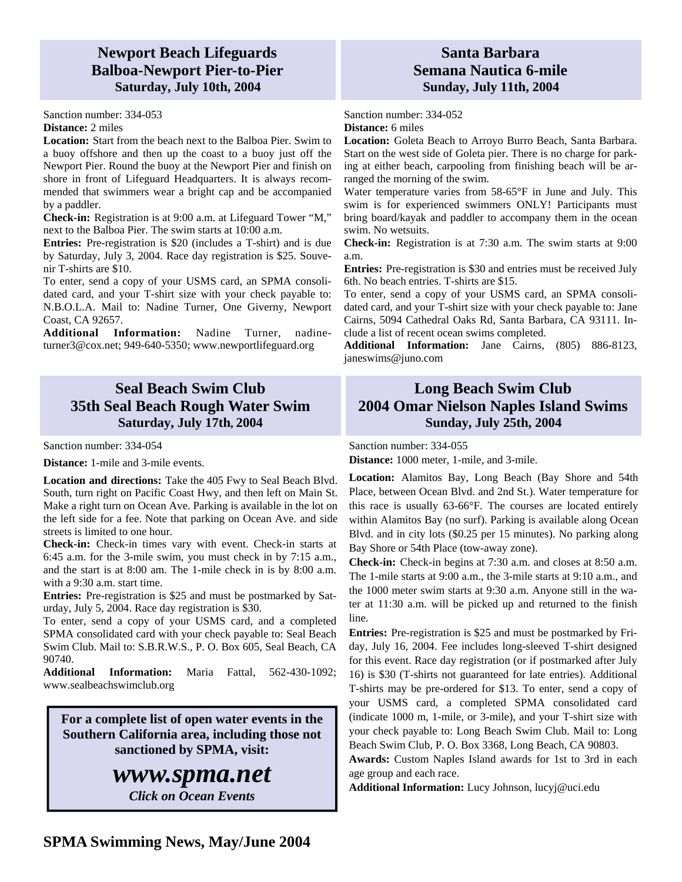# **Newport Beach Lifeguards Balboa-Newport Pier-to-Pier Saturday, July 10th, 2004**

Sanction number: 334-053

#### **Distance:** 2 miles

**Location:** Start from the beach next to the Balboa Pier. Swim to a buoy offshore and then up the coast to a buoy just off the Newport Pier. Round the buoy at the Newport Pier and finish on shore in front of Lifeguard Headquarters. It is always recommended that swimmers wear a bright cap and be accompanied by a paddler.

**Check-in:** Registration is at 9:00 a.m. at Lifeguard Tower "M," next to the Balboa Pier. The swim starts at 10:00 a.m.

**Entries:** Pre-registration is \$20 (includes a T-shirt) and is due by Saturday, July 3, 2004. Race day registration is \$25. Souvenir T-shirts are \$10.

To enter, send a copy of your USMS card, an SPMA consolidated card, and your T-shirt size with your check payable to: N.B.O.L.A. Mail to: Nadine Turner, One Giverny, Newport Coast, CA 92657.

**Additional Information:** Nadine Turner, nadineturner3@cox.net; 949-640-5350; www.newportlifeguard.org

# **Seal Beach Swim Club 35th Seal Beach Rough Water Swim Saturday, July 17th, 2004**

Sanction number: 334-054

**Distance:** 1-mile and 3-mile events.

**Location and directions:** Take the 405 Fwy to Seal Beach Blvd. South, turn right on Pacific Coast Hwy, and then left on Main St. Make a right turn on Ocean Ave. Parking is available in the lot on the left side for a fee. Note that parking on Ocean Ave. and side streets is limited to one hour.

**Check-in:** Check-in times vary with event. Check-in starts at 6:45 a.m. for the 3-mile swim, you must check in by 7:15 a.m., and the start is at 8:00 am. The 1-mile check in is by 8:00 a.m. with a 9:30 a.m. start time.

**Entries:** Pre-registration is \$25 and must be postmarked by Saturday, July 5, 2004. Race day registration is \$30.

To enter, send a copy of your USMS card, and a completed SPMA consolidated card with your check payable to: Seal Beach Swim Club. Mail to: S.B.R.W.S., P. O. Box 605, Seal Beach, CA 90740.

**Additional Information:** Maria Fattal, 562-430-1092; www.sealbeachswimclub.org

**For a complete list of open water events in the Southern California area, including those not sanctioned by SPMA, visit:** 

# *www.spma.net*

*Click on Ocean Events* 

# **Santa Barbara Semana Nautica 6-mile Sunday, July 11th, 2004**

Sanction number: 334-052 **Distance:** 6 miles

**Location:** Goleta Beach to Arroyo Burro Beach, Santa Barbara. Start on the west side of Goleta pier. There is no charge for parking at either beach, carpooling from finishing beach will be arranged the morning of the swim.

Water temperature varies from 58-65°F in June and July. This swim is for experienced swimmers ONLY! Participants must bring board/kayak and paddler to accompany them in the ocean swim. No wetsuits.

**Check-in:** Registration is at 7:30 a.m. The swim starts at 9:00 a.m.

**Entries:** Pre-registration is \$30 and entries must be received July 6th. No beach entries. T-shirts are \$15.

To enter, send a copy of your USMS card, an SPMA consolidated card, and your T-shirt size with your check payable to: Jane Cairns, 5094 Cathedral Oaks Rd, Santa Barbara, CA 93111. Include a list of recent ocean swims completed.

**Additional Information:** Jane Cairns, (805) 886-8123, janeswims@juno.com

# **Long Beach Swim Club 2004 Omar Nielson Naples Island Swims Sunday, July 25th, 2004**

Sanction number: 334-055

**Distance:** 1000 meter, 1-mile, and 3-mile.

**Location:** Alamitos Bay, Long Beach (Bay Shore and 54th Place, between Ocean Blvd. and 2nd St.). Water temperature for this race is usually 63-66°F. The courses are located entirely within Alamitos Bay (no surf). Parking is available along Ocean Blvd. and in city lots (\$0.25 per 15 minutes). No parking along Bay Shore or 54th Place (tow-away zone).

**Check-in:** Check-in begins at 7:30 a.m. and closes at 8:50 a.m. The 1-mile starts at 9:00 a.m., the 3-mile starts at 9:10 a.m., and the 1000 meter swim starts at 9:30 a.m. Anyone still in the water at 11:30 a.m. will be picked up and returned to the finish line.

**Entries:** Pre-registration is \$25 and must be postmarked by Friday, July 16, 2004. Fee includes long-sleeved T-shirt designed for this event. Race day registration (or if postmarked after July 16) is \$30 (T-shirts not guaranteed for late entries). Additional T-shirts may be pre-ordered for \$13. To enter, send a copy of your USMS card, a completed SPMA consolidated card (indicate 1000 m, 1-mile, or 3-mile), and your T-shirt size with your check payable to: Long Beach Swim Club. Mail to: Long Beach Swim Club, P. O. Box 3368, Long Beach, CA 90803.

**Awards:** Custom Naples Island awards for 1st to 3rd in each age group and each race.

**Additional Information:** Lucy Johnson, lucyj@uci.edu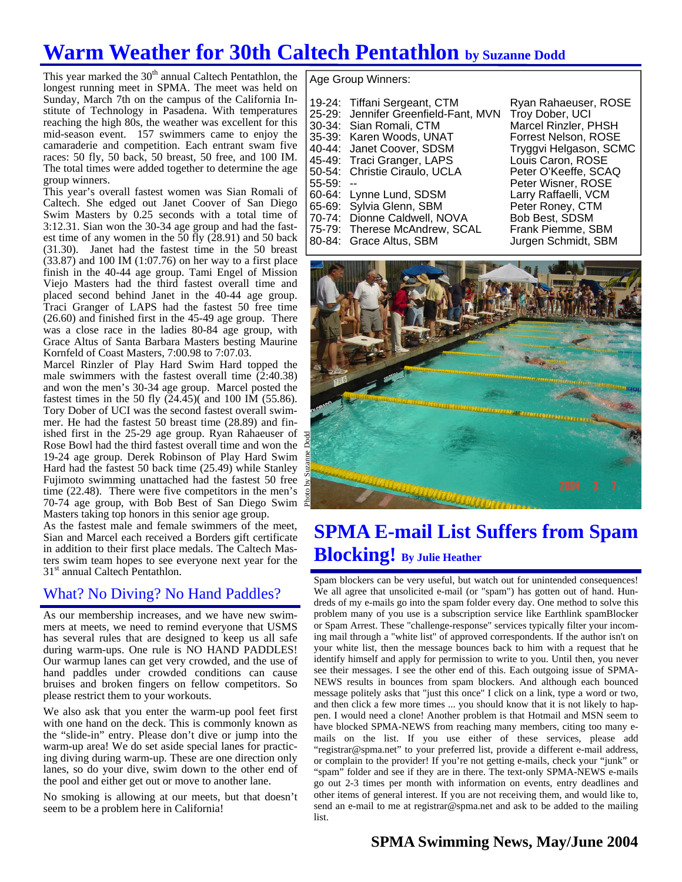# **Warm Weather for 30th Caltech Pentathlon by Suzanne Dodd**

This year marked the  $30<sup>th</sup>$  annual Caltech Pentathlon, the longest running meet in SPMA. The meet was held on Sunday, March 7th on the campus of the California Institute of Technology in Pasadena. With temperatures reaching the high 80s, the weather was excellent for this mid-season event. 157 swimmers came to enjoy the camaraderie and competition. Each entrant swam five races: 50 fly, 50 back, 50 breast, 50 free, and 100 IM. The total times were added together to determine the age group winners.

This year's overall fastest women was Sian Romali of Caltech. She edged out Janet Coover of San Diego Swim Masters by 0.25 seconds with a total time of 3:12.31. Sian won the 30-34 age group and had the fastest time of any women in the  $\bar{50}$  fly (28.91) and 50 back (31.30). Janet had the fastest time in the 50 breast (33.87) and 100 IM (1:07.76) on her way to a first place finish in the 40-44 age group. Tami Engel of Mission Viejo Masters had the third fastest overall time and placed second behind Janet in the 40-44 age group. Traci Granger of LAPS had the fastest 50 free time (26.60) and finished first in the 45-49 age group. There was a close race in the ladies 80-84 age group, with Grace Altus of Santa Barbara Masters besting Maurine Kornfeld of Coast Masters, 7:00.98 to 7:07.03.

Marcel Rinzler of Play Hard Swim Hard topped the male swimmers with the fastest overall time (2:40.38) and won the men's 30-34 age group. Marcel posted the fastest times in the 50 fly  $(24.45)$  and 100 IM (55.86). Tory Dober of UCI was the second fastest overall swimmer. He had the fastest 50 breast time (28.89) and finished first in the 25-29 age group. Ryan Rahaeuser of Rose Bowl had the third fastest overall time and won the 19-24 age group. Derek Robinson of Play Hard Swim Hard had the fastest 50 back time (25.49) while Stanley Fujimoto swimming unattached had the fastest 50 free time (22.48). There were five competitors in the men's 70-74 age group, with Bob Best of San Diego Swim Masters taking top honors in this senior age group.

As the fastest male and female swimmers of the meet, Sian and Marcel each received a Borders gift certificate in addition to their first place medals. The Caltech Masters swim team hopes to see everyone next year for the 31<sup>st</sup> annual Caltech Pentathlon.

## What? No Diving? No Hand Paddles?

As our membership increases, and we have new swimmers at meets, we need to remind everyone that USMS has several rules that are designed to keep us all safe during warm-ups. One rule is NO HAND PADDLES! Our warmup lanes can get very crowded, and the use of hand paddles under crowded conditions can cause bruises and broken fingers on fellow competitors. So please restrict them to your workouts.

We also ask that you enter the warm-up pool feet first with one hand on the deck. This is commonly known as the "slide-in" entry. Please don't dive or jump into the warm-up area! We do set aside special lanes for practicing diving during warm-up. These are one direction only lanes, so do your dive, swim down to the other end of the pool and either get out or move to another lane.

No smoking is allowing at our meets, but that doesn't seem to be a problem here in California!

Age Group Winners:

| 19-24: | Tiffani Sergeant, CTM         |
|--------|-------------------------------|
| 25-29: | Jennifer Greenfield-Fant, MVN |
| 30-34: | Sian Romali, CTM              |
| 35-39: | Karen Woods, UNAT             |
| 40-44: | Janet Coover, SDSM            |
| 45-49: | Traci Granger, LAPS           |
| 50-54: | Christie Ciraulo, UCLA        |
| 55-59: |                               |
| 60-64: | Lynne Lund, SDSM              |
| 65-69: | Sylvia Glenn, SBM             |
| 70-74: | Dionne Caldwell, NOVA         |
| 75-79: | Therese McAndrew, SCAL        |
| 80-84: | Grace Altus, SBM              |
|        |                               |

Ryan Rahaeuser, ROSE Troy Dober, UCI Marcel Rinzler, PHSH Forrest Nelson, ROSE Tryggvi Helgason, SCMC Louis Caron, ROSE Peter O'Keeffe, SCAQ Peter Wisner, ROSE Larry Raffaelli, VCM Peter Roney, CTM Bob Best, SDSM Frank Piemme, SBM Jurgen Schmidt, SBM



# **SPMA E-mail List Suffers from Spam Blocking! By Julie Heather**

Spam blockers can be very useful, but watch out for unintended consequences! We all agree that unsolicited e-mail (or "spam") has gotten out of hand. Hundreds of my e-mails go into the spam folder every day. One method to solve this problem many of you use is a subscription service like Earthlink spamBlocker or Spam Arrest. These "challenge-response" services typically filter your incoming mail through a "white list" of approved correspondents. If the author isn't on your white list, then the message bounces back to him with a request that he identify himself and apply for permission to write to you. Until then, you never see their messages. I see the other end of this. Each outgoing issue of SPMA-NEWS results in bounces from spam blockers. And although each bounced message politely asks that "just this once" I click on a link, type a word or two, and then click a few more times ... you should know that it is not likely to happen. I would need a clone! Another problem is that Hotmail and MSN seem to have blocked SPMA-NEWS from reaching many members, citing too many emails on the list. If you use either of these services, please add "registrar@spma.net" to your preferred list, provide a different e-mail address, or complain to the provider! If you're not getting e-mails, check your "junk" or "spam" folder and see if they are in there. The text-only SPMA-NEWS e-mails go out 2-3 times per month with information on events, entry deadlines and other items of general interest. If you are not receiving them, and would like to, send an e-mail to me at registrar@spma.net and ask to be added to the mailing list.